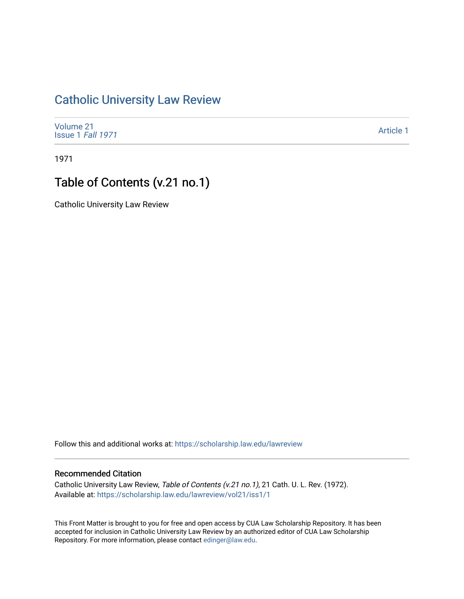## [Catholic University Law Review](https://scholarship.law.edu/lawreview)

[Volume 21](https://scholarship.law.edu/lawreview/vol21) [Issue 1](https://scholarship.law.edu/lawreview/vol21/iss1) Fall 1971

[Article 1](https://scholarship.law.edu/lawreview/vol21/iss1/1) 

1971

## Table of Contents (v.21 no.1)

Catholic University Law Review

Follow this and additional works at: [https://scholarship.law.edu/lawreview](https://scholarship.law.edu/lawreview?utm_source=scholarship.law.edu%2Flawreview%2Fvol21%2Fiss1%2F1&utm_medium=PDF&utm_campaign=PDFCoverPages)

## Recommended Citation

Catholic University Law Review, Table of Contents (v.21 no.1), 21 Cath. U. L. Rev. (1972). Available at: [https://scholarship.law.edu/lawreview/vol21/iss1/1](https://scholarship.law.edu/lawreview/vol21/iss1/1?utm_source=scholarship.law.edu%2Flawreview%2Fvol21%2Fiss1%2F1&utm_medium=PDF&utm_campaign=PDFCoverPages)

This Front Matter is brought to you for free and open access by CUA Law Scholarship Repository. It has been accepted for inclusion in Catholic University Law Review by an authorized editor of CUA Law Scholarship Repository. For more information, please contact [edinger@law.edu.](mailto:edinger@law.edu)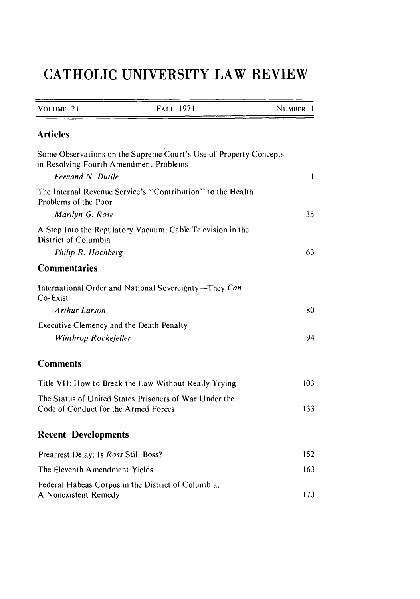## **CATHOLIC UNIVERSITY LAW REVIEW**

| VOLUME 21                                                                                      | <b>FALL 1971</b>                                                  | <b>NUMBER</b> |
|------------------------------------------------------------------------------------------------|-------------------------------------------------------------------|---------------|
| <b>Articles</b>                                                                                |                                                                   |               |
| in Resolving Fourth Amendment Problems<br>Fernand N. Dutile                                    | Some Observations on the Supreme Court's Use of Property Concepts | ł             |
| Problems of the Poor                                                                           | The Internal Revenue Service's "Contribution" to the Health       |               |
| Marilyn G. Rose                                                                                |                                                                   | 35            |
| District of Columbia                                                                           | A Step Into the Regulatory Vacuum: Cable Television in the        |               |
| Philip R. Hochberg                                                                             |                                                                   | 63            |
| <b>Commentaries</b>                                                                            |                                                                   |               |
| Co-Exist                                                                                       | International Order and National Sovereignty-They Can             |               |
| <b>Arthur Larson</b>                                                                           |                                                                   | 80            |
| Executive Clemency and the Death Penalty                                                       |                                                                   |               |
| Winthrop Rockefeller                                                                           |                                                                   | 94            |
| <b>Comments</b>                                                                                |                                                                   |               |
| Title VII: How to Break the Law Without Really Trying                                          |                                                                   | 103           |
| The Status of United States Prisoners of War Under the<br>Code of Conduct for the Armed Forces |                                                                   | 133           |
| <b>Recent Developments</b>                                                                     |                                                                   |               |
| Prearrest Delay: Is Ross Still Boss?                                                           |                                                                   | 152           |
| The Eleventh Amendment Yields                                                                  |                                                                   | 163           |
| A Nonexistent Remedy                                                                           | Federal Habeas Corpus in the District of Columbia:                | 173           |
|                                                                                                |                                                                   |               |